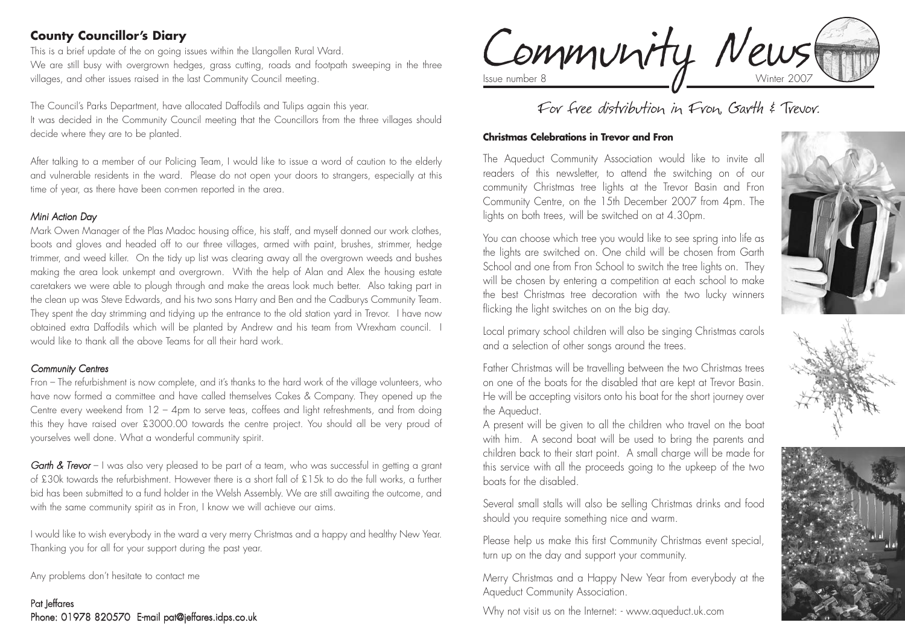# **County Councillor's Diary**

This is a brief update of the on going issues within the Llangollen Rural Ward. We are still busy with overgrown hedges, grass cutting, roads and footpath sweeping in the three villages, and other issues raised in the last Community Council meeting.

The Council's Parks Department, have allocated Daffodils and Tulips again this year. It was decided in the Community Council meeting that the Councillors from the three villages should decide where they are to be planted.

After talking to a member of our Policing Team, I would like to issue a word of caution to the elderly and vulnerable residents in the ward. Please do not open your doors to strangers, especially at this time of year, as there have been con-men reported in the area.

#### *Mini Action Day*

Mark Owen Manager of the Plas Madoc housing office, his staff, and myself donned our work clothes, boots and gloves and headed off to our three villages, armed with paint, brushes, strimmer, hedge trimmer, and weed killer. On the tidy up list was clearing away all the overgrown weeds and bushes making the area look unkempt and overgrown. With the help of Alan and Alex the housing estate caretakers we were able to plough through and make the areas look much better. Also taking part in the clean up was Steve Edwards, and his two sons Harry and Ben and the Cadburys Community Team. They spent the day strimming and tidying up the entrance to the old station yard in Trevor. I have now obtained extra Daffodils which will be planted by Andrew and his team from Wrexham council. I would like to thank all the above Teams for all their hard work.

#### *Community Centres*

Fron – The refurbishment is now complete, and it's thanks to the hard work of the village volunteers, who have now formed a committee and have called themselves Cakes & Company. They opened up the Centre every weekend from 12 – 4pm to serve teas, coffees and light refreshments, and from doing this they have raised over £3000.00 towards the centre project. You should all be very proud of yourselves well done. What a wonderful community spirit.

*Garth & Trevor* – I was also very pleased to be part of a team, who was successful in getting a grant of £30k towards the refurbishment. However there is a short fall of £15k to do the full works, a further bid has been submitted to a fund holder in the Welsh Assembly. We are still awaiting the outcome, and with the same community spirit as in Fron, I know we will achieve our aims.

I would like to wish everybody in the ward a very merry Christmas and a happy and healthy New Year. Thanking you for all for your support during the past year.

Any problems don't hesitate to contact me

#### Pat Jeffares Phone: 01978 820570 E-mail pat@jeffares.idps.co.uk

Community News

# For free distribution in Fron, Garth & Trevor.

#### **Christmas Celebrations in Trevor and Fron**

The Aqueduct Community Association would like to invite all readers of this newsletter, to attend the switching on of our community Christmas tree lights at the Trevor Basin and Fron Community Centre, on the 15th December 2007 from 4pm. The lights on both trees, will be switched on at 4.30pm.

You can choose which tree you would like to see spring into life as the lights are switched on. One child will be chosen from Garth School and one from Fron School to switch the tree lights on. They will be chosen by entering a competition at each school to make the best Christmas tree decoration with the two lucky winners flicking the light switches on on the big day.



Local primary school children will also be singing Christmas carols and a selection of other songs around the trees.

Father Christmas will be travelling between the two Christmas trees on one of the boats for the disabled that are kept at Trevor Basin. He will be accepting visitors onto his boat for the short journey over the Aqueduct.

A present will be given to all the children who travel on the boat with him. A second boat will be used to bring the parents and children back to their start point. A small charge will be made for this service with all the proceeds going to the upkeep of the two boats for the disabled.

Several small stalls will also be selling Christmas drinks and food should you require something nice and warm.

Please help us make this first Community Christmas event special, turn up on the day and support your community.

Merry Christmas and a Happy New Year from everybody at the Aqueduct Community Association.

Why not visit us on the Internet: - www.aqueduct.uk.com

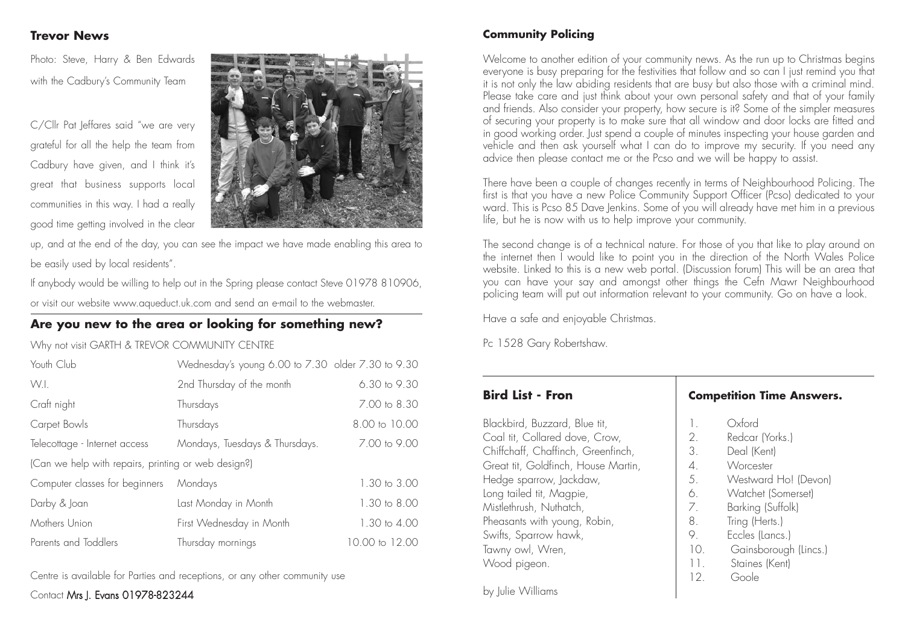#### **Trevor News**

Photo: Steve, Harry & Ben Edwards with the Cadbury's Community Team

C/Cllr Pat Jeffares said "we are very grateful for all the help the team from Cadbury have given, and I think it's great that business supports local communities in this way. I had a really good time getting involved in the clear



up, and at the end of the day, you can see the impact we have made enabling this area to be easily used by local residents".

If anybody would be willing to help out in the Spring please contact Steve 01978 810906, or visit our website www.aqueduct.uk.com and send an e-mail to the webmaster.

#### **Are you new to the area or looking for something new?**

Why not visit GARTH & TREVOR COMMUNITY CENTRE

| Youth Club                                          | Wednesday's young 6.00 to 7.30 older 7.30 to 9.30 |                |  |  |  |
|-----------------------------------------------------|---------------------------------------------------|----------------|--|--|--|
| W.I.                                                | 2nd Thursday of the month                         | 6.30 to 9.30   |  |  |  |
| Craft night                                         | Thursdays                                         | 7.00 to 8.30   |  |  |  |
| Carpet Bowls                                        | Thursdays                                         | 8.00 to 10.00  |  |  |  |
| Telecottage - Internet access                       | Mondays, Tuesdays & Thursdays.                    | 7.00 to 9.00   |  |  |  |
| (Can we help with repairs, printing or web design?) |                                                   |                |  |  |  |
| Computer classes for beginners                      | Mondays                                           | 1.30 to 3.00   |  |  |  |
| Darby & Joan                                        | Last Monday in Month                              | 1.30 to 8.00   |  |  |  |
| Mothers Union                                       | First Wednesday in Month                          | 1.30 to 4.00   |  |  |  |
| Parents and Toddlers                                | Thursday mornings                                 | 10.00 to 12.00 |  |  |  |

Centre is available for Parties and receptions, or any other community use

Contact Mrs I. Evans 01978-823244

# **Community Policing**

Welcome to another edition of your community news. As the run up to Christmas begins everyone is busy preparing for the festivities that follow and so can I just remind you that it is not only the law abiding residents that are busy but also those with a criminal mind. Please take care and just think about your own personal safety and that of your family and friends. Also consider your property, how secure is it? Some of the simpler measures of securing your property is to make sure that all window and door locks are fitted and in good working order. Just spend a couple of minutes inspecting your house garden and vehicle and then ask yourself what I can do to improve my security. If you need any advice then please contact me or the Pcso and we will be happy to assist.

There have been a couple of changes recently in terms of Neighbourhood Policing. The first is that you have a new Police Community Support Officer (Pcso) dedicated to your ward. This is Pcso 85 Dave Jenkins. Some of you will already have met him in a previous life, but he is now with us to help improve your community.

The second change is of a technical nature. For those of you that like to play around on the internet then I would like to point you in the direction of the North Wales Police website. Linked to this is a new web portal. (Discussion forum) This will be an area that you can have your say and amongst other things the Cefn Mawr Neighbourhood policing team will put out information relevant to your community. Go on have a look.

Have a safe and enjoyable Christmas.

Pc 1528 Gary Robertshaw.

# **Bird List - Fron**

Blackbird, Buzzard, Blue tit, Coal tit, Collared dove, Crow, Chiffchaff, Chaffinch, Greenfinch, Great tit, Goldfinch, House Martin, Hedge sparrow, Jackdaw, Long tailed tit, Magpie, Mistlethrush, Nuthatch, Pheasants with young, Robin, Swifts, Sparrow hawk, Tawny owl, Wren, Wood pigeon.

**Competition Time Answers.**

| $\mathbb{L}$    | Oxford                |
|-----------------|-----------------------|
| 2.              | Redcar (Yorks.)       |
| 3.              | Deal (Kent)           |
| 4.              | Worcester             |
| 5.              | Westward Ho! (Devon)  |
| 6.              | Watchet (Somerset)    |
| 7.              | Barking (Suffolk)     |
| 8.              | Tring (Herts.)        |
| 9               | Eccles (Lancs.)       |
| 10.             | Gainsborough (Lincs.) |
| 11.             | Staines (Kent)        |
| 12 <sup>°</sup> | Goole                 |

by Julie Williams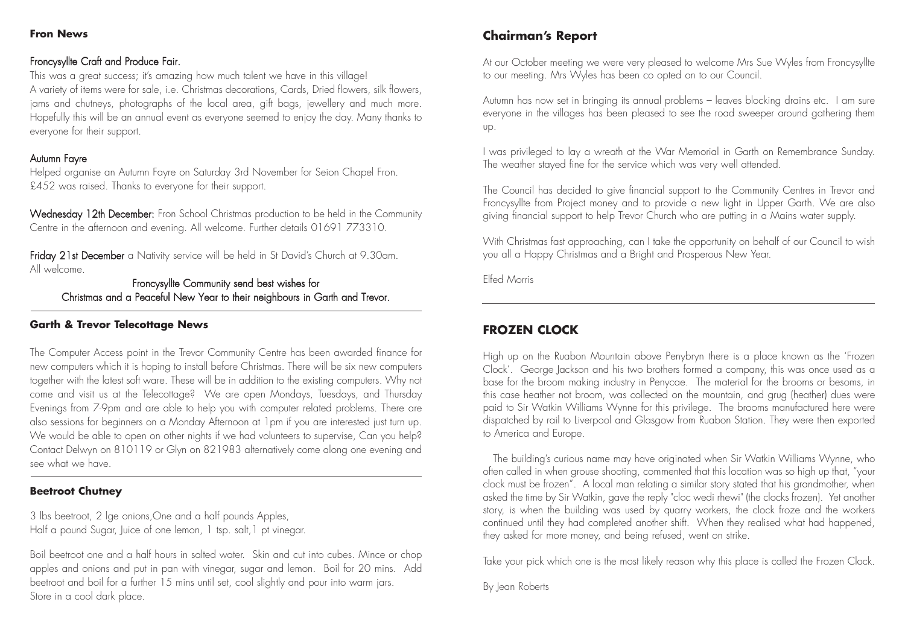#### **Fron News**

#### Froncysyllte Craft and Produce Fair.

This was a great success; it's amazing how much talent we have in this village! A variety of items were for sale, i.e. Christmas decorations, Cards, Dried flowers, silk flowers, jams and chutneys, photographs of the local area, gift bags, jewellery and much more. Hopefully this will be an annual event as everyone seemed to enjoy the day. Many thanks to everyone for their support.

#### Autumn Fayre

Helped organise an Autumn Fayre on Saturday 3rd November for Seion Chapel Fron. £452 was raised. Thanks to everyone for their support.

Wednesday 12th December: Fron School Christmas production to be held in the Community Centre in the afternoon and evening. All welcome. Further details 01691 773310.

Friday 21st December a Nativity service will be held in St David's Church at 9.30am. All welcome.

Froncysyllte Community send best wishes for Christmas and a Peaceful New Year to their neighbours in Garth and Trevor.

#### **Garth & Trevor Telecottage News**

The Computer Access point in the Trevor Community Centre has been awarded finance for new computers which it is hoping to install before Christmas. There will be six new computers together with the latest soft ware. These will be in addition to the existing computers. Why not come and visit us at the Telecottage? We are open Mondays, Tuesdays, and Thursday Evenings from 7-9pm and are able to help you with computer related problems. There are also sessions for beginners on a Monday Afternoon at 1pm if you are interested just turn up. We would be able to open on other nights if we had volunteers to supervise, Can you help? Contact Delwyn on 810119 or Glyn on 821983 alternatively come along one evening and see what we have.

#### **Beetroot Chutney**

3 lbs beetroot, 2 lge onions,One and a half pounds Apples, Half a pound Sugar, Juice of one lemon, 1 tsp. salt,1 pt vinegar.

Boil beetroot one and a half hours in salted water. Skin and cut into cubes. Mince or chop apples and onions and put in pan with vinegar, sugar and lemon. Boil for 20 mins. Add beetroot and boil for a further 15 mins until set, cool slightly and pour into warm jars. Store in a cool dark place.

#### **Chairman's Report**

At our October meeting we were very pleased to welcome Mrs Sue Wyles from Froncysyllte to our meeting. Mrs Wyles has been co opted on to our Council.

Autumn has now set in bringing its annual problems – leaves blocking drains etc. I am sure everyone in the villages has been pleased to see the road sweeper around gathering them up.

I was privileged to lay a wreath at the War Memorial in Garth on Remembrance Sunday. The weather stayed fine for the service which was very well attended.

The Council has decided to give financial support to the Community Centres in Trevor and Froncysyllte from Project money and to provide a new light in Upper Garth. We are also giving financial support to help Trevor Church who are putting in a Mains water supply.

With Christmas fast approaching, can I take the opportunity on behalf of our Council to wish you all a Happy Christmas and a Bright and Prosperous New Year.

Elfed Morris

#### **FROZEN CLOCK**

High up on the Ruabon Mountain above Penybryn there is a place known as the 'Frozen Clock'. George Jackson and his two brothers formed a company, this was once used as a base for the broom making industry in Penycae. The material for the brooms or besoms, in this case heather not broom, was collected on the mountain, and grug (heather) dues were paid to Sir Watkin Williams Wynne for this privilege. The brooms manufactured here were dispatched by rail to Liverpool and Glasgow from Ruabon Station. They were then exported to America and Europe.

The building's curious name may have originated when Sir Watkin Williams Wynne, who often called in when grouse shooting, commented that this location was so high up that, "your clock must be frozen". A local man relating a similar story stated that his grandmother, when asked the time by Sir Watkin, gave the reply "cloc wedi rhewi" (the clocks frozen). Yet another story, is when the building was used by quarry workers, the clock froze and the workers continued until they had completed another shift. When they realised what had happened, they asked for more money, and being refused, went on strike.

Take your pick which one is the most likely reason why this place is called the Frozen Clock.

By Jean Roberts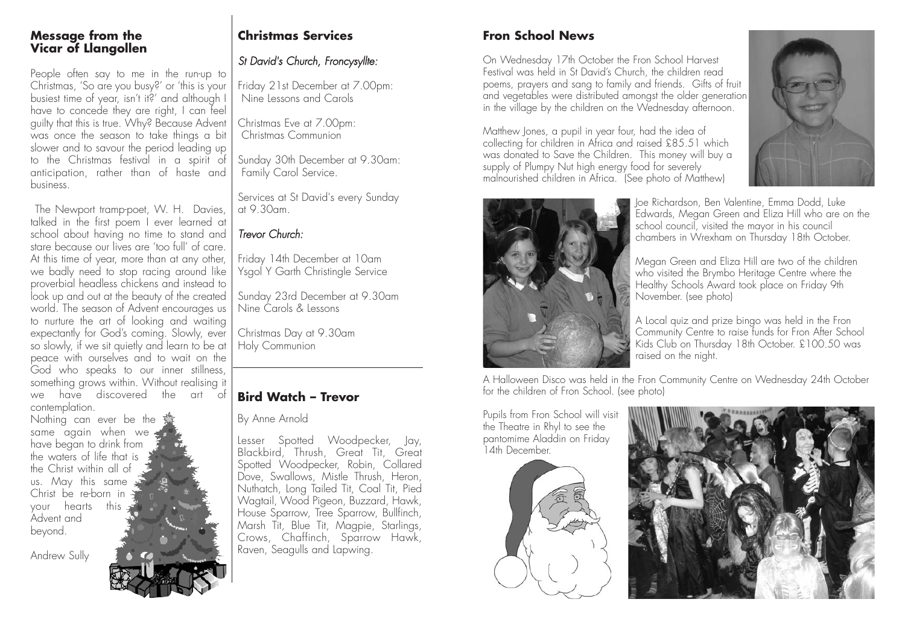#### **Message from the Vicar of Llangollen**

People often say to me in the run-up to Christmas, 'So are you busy?' or 'this is your busiest time of year, isn't it?' and although I have to concede they are right, I can feel guilty that this is true. Why? Because Advent was once the season to take things a bit slower and to savour the period leading up to the Christmas festival in a spirit of anticipation, rather than of haste and business.

The Newport tramp-poet, W. H. Davies, talked in the first poem I ever learned at school about having no time to stand and stare because our lives are 'too full' of care. At this time of year, more than at any other, we badly need to stop racing around like proverbial headless chickens and instead to look up and out at the beauty of the created world. The season of Advent encourages us to nurture the art of looking and waiting expectantly for God's coming. Slowly, ever so slowly, if we sit quietly and learn to be at peace with ourselves and to wait on the God who speaks to our inner stillness, something grows within. Without realising it we have discovered the art of contemplation.

Nothing can ever be the same again when we have began to drink from the waters of life that is the Christ within all of us. May this same Christ be re-born in your hearts this Advent and beyond.

Andrew Sully



# **Christmas Services**

## *St David's Church, Froncysyllte:*

Friday 21st December at 7.00pm: Nine Lessons and Carols

Christmas Eve at 7.00pm: Christmas Communion

Sunday 30th December at 9.30am: Family Carol Service.

Services at St David's every Sunday at 9.30am.

# *Trevor Church:*

Friday 14th December at 10am Ysgol Y Garth Christingle Service

Sunday 23rd December at 9.30am Nine Carols & Lessons

Christmas Day at 9.30am Holy Communion

#### **Bird Watch – Trevor**

By Anne Arnold

Lesser Spotted Woodpecker, Jay, Blackbird, Thrush, Great Tit, Great Spotted Woodpecker, Robin, Collared Dove, Swallows, Mistle Thrush, Heron, Nuthatch, Long Tailed Tit, Coal Tit, Pied Wagtail, Wood Pigeon, Buzzard, Hawk, House Sparrow, Tree Sparrow, Bullfinch, Marsh Tit, Blue Tit, Magpie, Starlings, Crows, Chaffinch, Sparrow Hawk, Raven, Seagulls and Lapwing.

# **Fron School News**

On Wednesday 17th October the Fron School Harvest Festival was held in St David's Church, the children read poems, prayers and sang to family and friends. Gifts of fruit and vegetables were distributed amongst the older generation in the village by the children on the Wednesday afternoon.

Matthew Jones, a pupil in year four, had the idea of collecting for children in Africa and raised £85.51 which was donated to Save the Children. This money will buy a supply of Plumpy Nut high energy food for severely malnourished children in Africa. (See photo of Matthew)





Joe Richardson, Ben Valentine, Emma Dodd, Luke Edwards, Megan Green and Eliza Hill who are on the school council, visited the mayor in his council chambers in Wrexham on Thursday 18th October.

Megan Green and Eliza Hill are two of the children who visited the Brymbo Heritage Centre where the Healthy Schools Award took place on Friday 9th November. (see photo)

A Local quiz and prize bingo was held in the Fron Community Centre to raise funds for Fron After School Kids Club on Thursday 18th October. £100.50 was raised on the night.

A Halloween Disco was held in the Fron Community Centre on Wednesday 24th October for the children of Fron School. (see photo)

Pupils from Fron School will visit the Theatre in Rhyl to see the pantomime Aladdin on Friday 14th December.



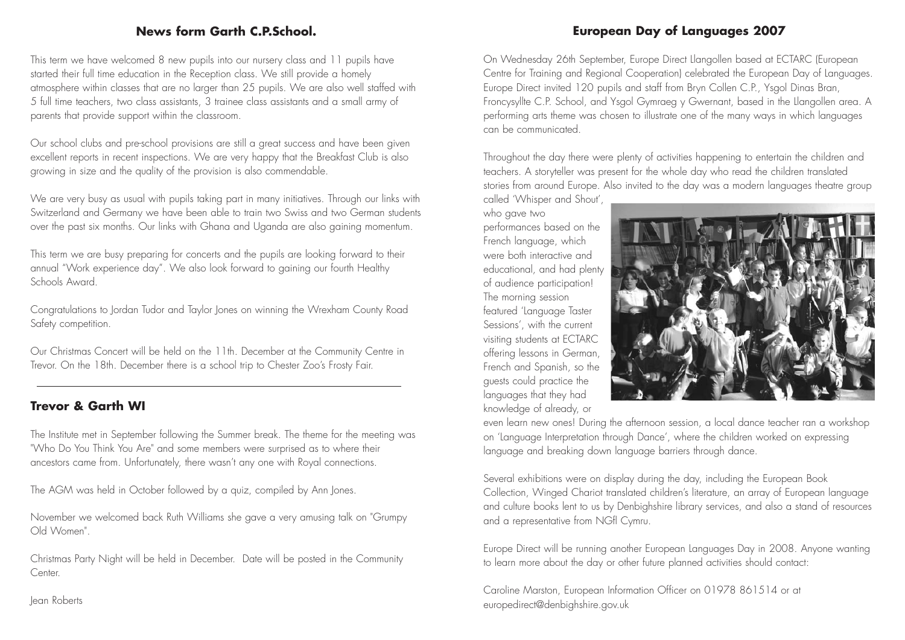### **News form Garth C.P.School.**

This term we have welcomed 8 new pupils into our nursery class and 11 pupils have started their full time education in the Reception class. We still provide a homely atmosphere within classes that are no larger than 25 pupils. We are also well staffed with 5 full time teachers, two class assistants, 3 trainee class assistants and a small army of parents that provide support within the classroom.

Our school clubs and pre-school provisions are still a great success and have been given excellent reports in recent inspections. We are very happy that the Breakfast Club is also growing in size and the quality of the provision is also commendable.

We are very busy as usual with pupils taking part in many initiatives. Through our links with Switzerland and Germany we have been able to train two Swiss and two German students over the past six months. Our links with Ghana and Uganda are also gaining momentum.

This term we are busy preparing for concerts and the pupils are looking forward to their annual "Work experience day". We also look forward to gaining our fourth Healthy Schools Award.

Congratulations to Jordan Tudor and Taylor Jones on winning the Wrexham County Road Safety competition.

Our Christmas Concert will be held on the 11th. December at the Community Centre in Trevor. On the 18th. December there is a school trip to Chester Zoo's Frosty Fair.

#### **Trevor & Garth WI**

The Institute met in September following the Summer break. The theme for the meeting was "Who Do You Think You Are" and some members were surprised as to where their ancestors came from. Unfortunately, there wasn't any one with Royal connections.

The AGM was held in October followed by a quiz, compiled by Ann Jones.

November we welcomed back Ruth Williams she gave a very amusing talk on "Grumpy Old Women".

Christmas Party Night will be held in December. Date will be posted in the Community **Center** 

Jean Roberts

# **European Day of Languages 2007**

On Wednesday 26th September, Europe Direct Llangollen based at ECTARC (European Centre for Training and Regional Cooperation) celebrated the European Day of Languages. Europe Direct invited 120 pupils and staff from Bryn Collen C.P., Ysgol Dinas Bran, Froncysyllte C.P. School, and Ysgol Gymraeg y Gwernant, based in the Llangollen area. A performing arts theme was chosen to illustrate one of the many ways in which languages can be communicated.

Throughout the day there were plenty of activities happening to entertain the children and teachers. A storyteller was present for the whole day who read the children translated stories from around Europe. Also invited to the day was a modern languages theatre group

called 'Whisper and Shout', who gave two

performances based on the French language, which were both interactive and educational, and had plenty of audience participation! The morning session featured 'Language Taster Sessions', with the current visiting students at ECTARC offering lessons in German, French and Spanish, so the guests could practice the languages that they had knowledge of already, or



even learn new ones! During the afternoon session, a local dance teacher ran a workshop on 'Language Interpretation through Dance', where the children worked on expressing language and breaking down language barriers through dance.

Several exhibitions were on display during the day, including the European Book Collection, Winged Chariot translated children's literature, an array of European language and culture books lent to us by Denbighshire library services, and also a stand of resources and a representative from NGfl Cymru.

Europe Direct will be running another European Languages Day in 2008. Anyone wanting to learn more about the day or other future planned activities should contact:

Caroline Marston, European Information Officer on 01978 861514 or at europedirect@denbighshire.gov.uk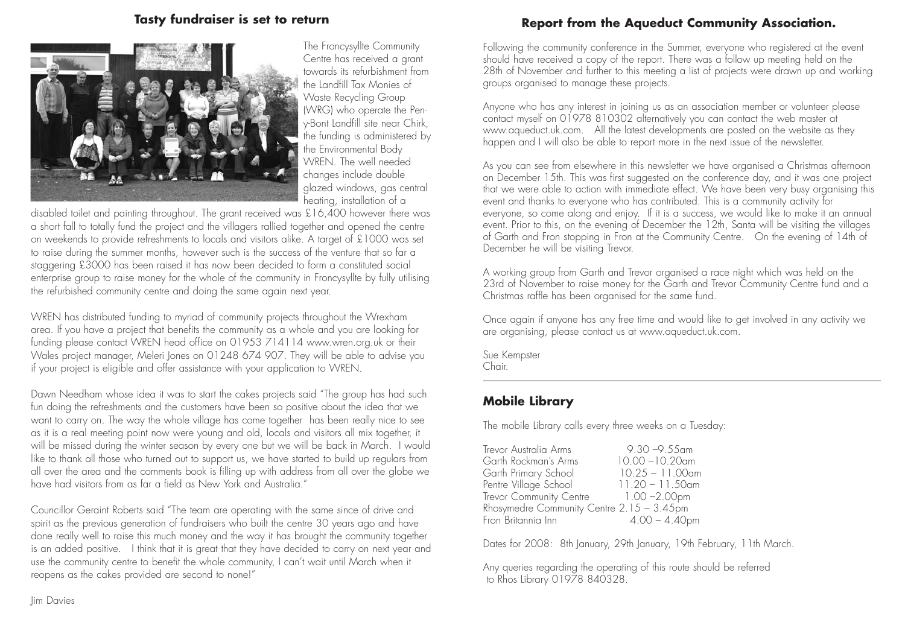#### **Tasty fundraiser is set to return**



The Froncysyllte Community Centre has received a grant towards its refurbishment from the Landfill Tax Monies of Waste Recycling Group (WRG) who operate the Peny-Bont Landfill site near Chirk, the funding is administered by the Environmental Body WREN. The well needed changes include double glazed windows, gas central heating, installation of a

disabled toilet and painting throughout. The grant received was £16,400 however there was a short fall to totally fund the project and the villagers rallied together and opened the centre on weekends to provide refreshments to locals and visitors alike. A target of £1000 was set to raise during the summer months, however such is the success of the venture that so far a staggering £3000 has been raised it has now been decided to form a constituted social enterprise group to raise money for the whole of the community in Froncysyllte by fully utilising the refurbished community centre and doing the same again next year.

WREN has distributed funding to myriad of community projects throughout the Wrexham area. If you have a project that benefits the community as a whole and you are looking for funding please contact WREN head office on 01953 714114 www.wren.org.uk or their Wales project manager, Meleri Jones on 01248 674 907. They will be able to advise you if your project is eligible and offer assistance with your application to WREN.

Dawn Needham whose idea it was to start the cakes projects said "The group has had such fun doing the refreshments and the customers have been so positive about the idea that we want to carry on. The way the whole village has come together has been really nice to see as it is a real meeting point now were young and old, locals and visitors all mix together, it will be missed during the winter season by every one but we will be back in March. I would like to thank all those who turned out to support us, we have started to build up regulars from all over the area and the comments book is filling up with address from all over the globe we have had visitors from as far a field as New York and Australia."

Councillor Geraint Roberts said "The team are operating with the same since of drive and spirit as the previous generation of fundraisers who built the centre 30 years ago and have done really well to raise this much money and the way it has brought the community together is an added positive. I think that it is great that they have decided to carry on next year and use the community centre to benefit the whole community, I can't wait until March when it reopens as the cakes provided are second to none!"

# **Report from the Aqueduct Community Association.**

Following the community conference in the Summer, everyone who registered at the event should have received a copy of the report. There was a follow up meeting held on the 28th of November and further to this meeting a list of projects were drawn up and working groups organised to manage these projects.

Anyone who has any interest in joining us as an association member or volunteer please contact myself on 01978 810302 alternatively you can contact the web master at www.aqueduct.uk.com. All the latest developments are posted on the website as they happen and I will also be able to report more in the next issue of the newsletter.

As you can see from elsewhere in this newsletter we have organised a Christmas afternoon on December 15th. This was first suggested on the conference day, and it was one project that we were able to action with immediate effect. We have been very busy organising this event and thanks to everyone who has contributed. This is a community activity for everyone, so come along and enjoy. If it is a success, we would like to make it an annual event. Prior to this, on the evening of December the 12th, Santa will be visiting the villages of Garth and Fron stopping in Fron at the Community Centre. On the evening of 14th of December he will be visiting Trevor.

A working group from Garth and Trevor organised a race night which was held on the 23rd of November to raise money for the Garth and Trevor Community Centre fund and a Christmas raffle has been organised for the same fund.

Once again if anyone has any free time and would like to get involved in any activity we are organising, please contact us at www.aqueduct.uk.com.

Sue Kempster Chair.

# **Mobile Library**

The mobile Library calls every three weeks on a Tuesday:

Trevor Australia Arms 9.30 –9.55am Garth Rockman's Arms 10.00 –10.20am Garth Primary School Pentre Village School 11.20 – 11.50am Trevor Community Centre 1.00 - 2.00pm Rhosymedre Community Centre 2.15 – 3.45pm Fron Britannia Inn 4.00 – 4.40pm

Dates for 2008: 8th January, 29th January, 19th February, 11th March.

Any queries regarding the operating of this route should be referred to Rhos Library 01978 840328.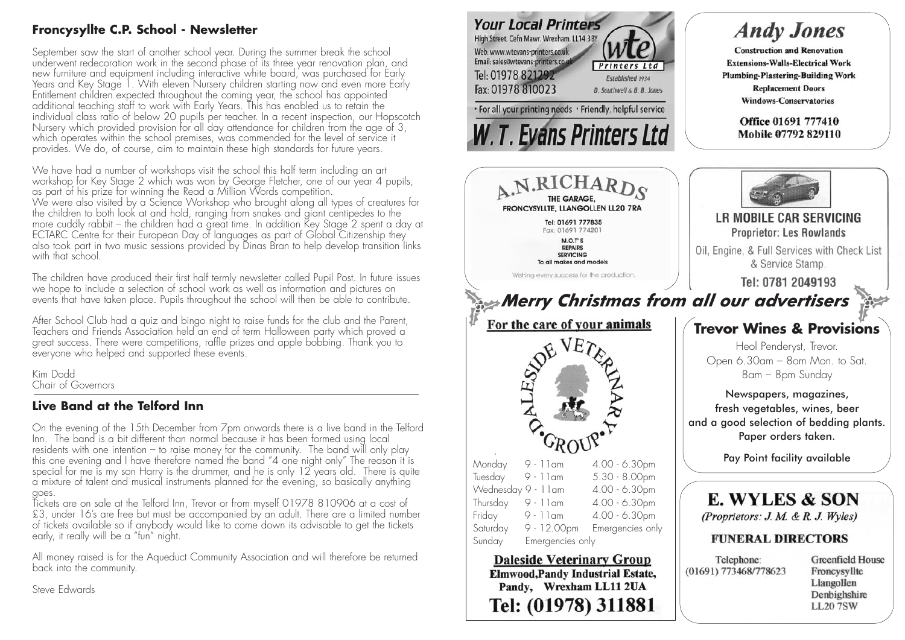# **Froncysyllte C.P. School - Newsletter**

September saw the start of another school year. During the summer break the school underwent redecoration work in the second phase of its three year renovation plan, and new furniture and equipment including interactive white board, was purchased for Early Years and Key Stage 1. With eleven Nursery children starting now and even more Early Entitlement children expected throughout the coming year, the school has appointed additional teaching staff to work with Early Years. This has enabled us to retain the individual class ratio of below 20 pupils per teacher. In a recent inspection, our Hopscotch Nursery which provided provision for all day attendance for children from the age of 3, which operates within the school premises, was commended for the level of service it provides. We do, of course, aim to maintain these high standards for future years.

We have had a number of workshops visit the school this half term including an art workshop for Key Stage 2 which was won by George Fletcher, one of our year 4 pupils, as part of his prize for winning the Read a Million Words competition. We were also visited by a Science Workshop who brought along all types of creatures for the children to both look at and hold, ranging from snakes and giant centipedes to the more cuddly rabbit – the children had a great time. In addition Key Stage 2 spent a day at ECTARC Centre for their European Day of languages as part of Global Citizenship they also took part in two music sessions provided by Dinas Bran to help develop transition links with that school.

The children have produced their first half termly newsletter called Pupil Post. In future issues we hope to include a selection of school work as well as information and pictures on events that have taken place. Pupils throughout the school will then be able to contribute.

After School Club had a quiz and bingo night to raise funds for the club and the Parent, Teachers and Friends Association held an end of term Halloween party which proved a great success. There were competitions, raffle prizes and apple bobbing. Thank you to everyone who helped and supported these events.

Kim Dodd Chair of Governors

# **Live Band at the Telford Inn**

On the evening of the 15th December from 7pm onwards there is a live band in the Telford Inn. The band is a bit different than normal because it has been formed using local residents with one intention – to raise money for the community. The band will only play this one evening and I have therefore named the band "4 one night only" The reason it is special for me is my son Harry is the drummer, and he is only  $12$  years old. There is quite a mixture of talent and musical instruments planned for the evening, so basically anything goes.

Tickets are on sale at the Telford Inn, Trevor or from myself 01978 810906 at a cost of £3, under 16's are free but must be accompanied by an adult. There are a limited number of tickets available so if anybody would like to come down its advisable to get the tickets early, it really will be a "fun" night.

All money raised is for the Aqueduct Community Association and will therefore be returned back into the community.

Steve Edwards



Pandy, Wrexham LL11 2UA

Tel: (01978) 311881

Froncysvllte Llangollen Denbighshire **LL20 7SW**